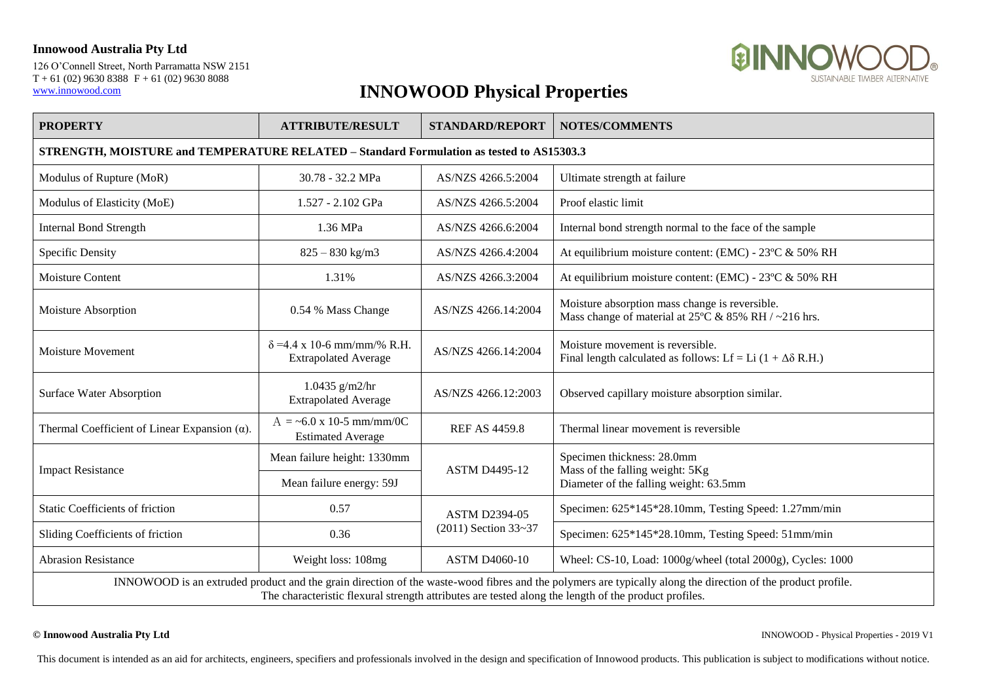### **Innowood Australia Pty Ltd**

126 O'Connell Street, North Parramatta NSW 2151  $T + 61 (02) 9630 8388 F + 61 (02) 9630 8088$ [www.innowood.com](http://www.innowood.com/)



# **INNOWOOD Physical Properties**

| <b>PROPERTY</b>                                                                                                                                                                                                                                                     | <b>ATTRIBUTE/RESULT</b>                                          | <b>STANDARD/REPORT</b>                       | <b>NOTES/COMMENTS</b>                                                                                            |  |  |
|---------------------------------------------------------------------------------------------------------------------------------------------------------------------------------------------------------------------------------------------------------------------|------------------------------------------------------------------|----------------------------------------------|------------------------------------------------------------------------------------------------------------------|--|--|
| STRENGTH, MOISTURE and TEMPERATURE RELATED - Standard Formulation as tested to AS15303.3                                                                                                                                                                            |                                                                  |                                              |                                                                                                                  |  |  |
| Modulus of Rupture (MoR)                                                                                                                                                                                                                                            | 30.78 - 32.2 MPa                                                 | AS/NZS 4266.5:2004                           | Ultimate strength at failure                                                                                     |  |  |
| Modulus of Elasticity (MoE)                                                                                                                                                                                                                                         | 1.527 - 2.102 GPa                                                | AS/NZS 4266.5:2004                           | Proof elastic limit                                                                                              |  |  |
| <b>Internal Bond Strength</b>                                                                                                                                                                                                                                       | 1.36 MPa                                                         | AS/NZS 4266.6:2004                           | Internal bond strength normal to the face of the sample                                                          |  |  |
| Specific Density                                                                                                                                                                                                                                                    | $825 - 830$ kg/m3                                                | AS/NZS 4266.4:2004                           | At equilibrium moisture content: (EMC) - 23°C & 50% RH                                                           |  |  |
| <b>Moisture Content</b>                                                                                                                                                                                                                                             | 1.31%                                                            | AS/NZS 4266.3:2004                           | At equilibrium moisture content: (EMC) - 23°C & 50% RH                                                           |  |  |
| Moisture Absorption                                                                                                                                                                                                                                                 | 0.54 % Mass Change                                               | AS/NZS 4266.14:2004                          | Moisture absorption mass change is reversible.<br>Mass change of material at $25^{\circ}$ C & 85% RH / ~216 hrs. |  |  |
| <b>Moisture Movement</b>                                                                                                                                                                                                                                            | $\delta$ =4.4 x 10-6 mm/mm/% R.H.<br><b>Extrapolated Average</b> | AS/NZS 4266.14:2004                          | Moisture movement is reversible.<br>Final length calculated as follows: Lf = Li $(1 + \Delta \delta R.H.)$       |  |  |
| <b>Surface Water Absorption</b>                                                                                                                                                                                                                                     | 1.0435 $g/m2/hr$<br><b>Extrapolated Average</b>                  | AS/NZS 4266.12:2003                          | Observed capillary moisture absorption similar.                                                                  |  |  |
| Thermal Coefficient of Linear Expansion $(\alpha)$ .                                                                                                                                                                                                                | $A = -6.0 \times 10-5$ mm/mm/0C<br><b>Estimated Average</b>      | <b>REF AS 4459.8</b>                         | Thermal linear movement is reversible                                                                            |  |  |
| <b>Impact Resistance</b>                                                                                                                                                                                                                                            | Mean failure height: 1330mm                                      | <b>ASTM D4495-12</b>                         | Specimen thickness: 28.0mm<br>Mass of the falling weight: 5Kg<br>Diameter of the falling weight: 63.5mm          |  |  |
|                                                                                                                                                                                                                                                                     | Mean failure energy: 59J                                         |                                              |                                                                                                                  |  |  |
| <b>Static Coefficients of friction</b>                                                                                                                                                                                                                              | 0.57                                                             | <b>ASTM D2394-05</b><br>(2011) Section 33~37 | Specimen: 625*145*28.10mm, Testing Speed: 1.27mm/min                                                             |  |  |
| Sliding Coefficients of friction                                                                                                                                                                                                                                    | 0.36                                                             |                                              | Specimen: 625*145*28.10mm, Testing Speed: 51mm/min                                                               |  |  |
| <b>Abrasion Resistance</b>                                                                                                                                                                                                                                          | Weight loss: 108mg                                               | <b>ASTM D4060-10</b>                         | Wheel: CS-10, Load: 1000g/wheel (total 2000g), Cycles: 1000                                                      |  |  |
| INNOWOOD is an extruded product and the grain direction of the waste-wood fibres and the polymers are typically along the direction of the product profile.<br>The characteristic flexural strength attributes are tested along the length of the product profiles. |                                                                  |                                              |                                                                                                                  |  |  |

**© Innowood Australia Pty Ltd** INNOWOOD - Physical Properties - 2019 V1

This document is intended as an aid for architects, engineers, specifiers and professionals involved in the design and specification of Innowood products. This publication is subject to modifications without notice.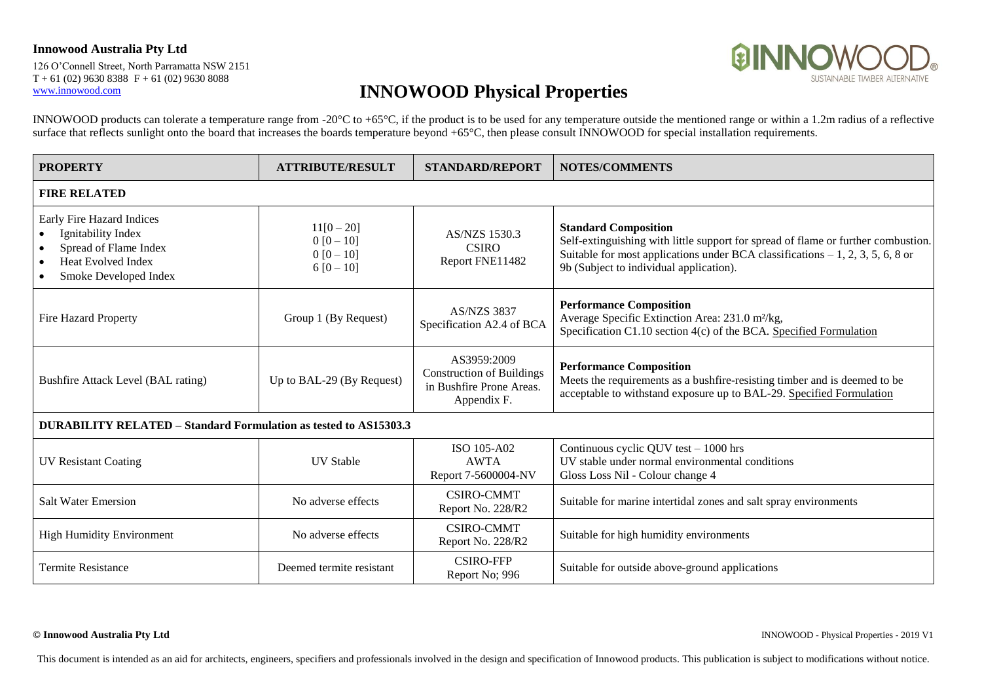#### **Innowood Australia Pty Ltd**

126 O'Connell Street, North Parramatta NSW 2151  $T + 61 (02) 9630 8388 F + 61 (02) 9630 8088$ [www.innowood.com](http://www.innowood.com/)



## **INNOWOOD Physical Properties**

INNOWOOD products can tolerate a temperature range from -20°C to +65°C, if the product is to be used for any temperature outside the mentioned range or within a 1.2m radius of a reflective surface that reflects sunlight onto the board that increases the boards temperature beyond +65°C, then please consult INNOWOOD for special installation requirements.

| <b>PROPERTY</b>                                                                                                                | <b>ATTRIBUTE/RESULT</b>                                 | <b>STANDARD/REPORT</b>                                                                     | <b>NOTES/COMMENTS</b>                                                                                                                                                                                                                           |  |  |  |
|--------------------------------------------------------------------------------------------------------------------------------|---------------------------------------------------------|--------------------------------------------------------------------------------------------|-------------------------------------------------------------------------------------------------------------------------------------------------------------------------------------------------------------------------------------------------|--|--|--|
| <b>FIRE RELATED</b>                                                                                                            |                                                         |                                                                                            |                                                                                                                                                                                                                                                 |  |  |  |
| Early Fire Hazard Indices<br>Ignitability Index<br>Spread of Flame Index<br><b>Heat Evolved Index</b><br>Smoke Developed Index | $11[0-20]$<br>$0 [0 - 10]$<br>$0 [0 - 10]$<br>$6[0-10]$ | <b>AS/NZS 1530.3</b><br><b>CSIRO</b><br>Report FNE11482                                    | <b>Standard Composition</b><br>Self-extinguishing with little support for spread of flame or further combustion.<br>Suitable for most applications under BCA classifications $-1$ , 2, 3, 5, 6, 8 or<br>9b (Subject to individual application). |  |  |  |
| Fire Hazard Property                                                                                                           | Group 1 (By Request)                                    | <b>AS/NZS 3837</b><br>Specification A2.4 of BCA                                            | <b>Performance Composition</b><br>Average Specific Extinction Area: 231.0 m <sup>2</sup> /kg,<br>Specification C1.10 section 4(c) of the BCA. Specified Formulation                                                                             |  |  |  |
| Bushfire Attack Level (BAL rating)                                                                                             | Up to BAL-29 (By Request)                               | AS3959:2009<br><b>Construction of Buildings</b><br>in Bushfire Prone Areas.<br>Appendix F. | <b>Performance Composition</b><br>Meets the requirements as a bushfire-resisting timber and is deemed to be<br>acceptable to withstand exposure up to BAL-29. Specified Formulation                                                             |  |  |  |
| <b>DURABILITY RELATED – Standard Formulation as tested to AS15303.3</b>                                                        |                                                         |                                                                                            |                                                                                                                                                                                                                                                 |  |  |  |
| <b>UV Resistant Coating</b>                                                                                                    | <b>UV</b> Stable                                        | ISO 105-A02<br><b>AWTA</b><br>Report 7-5600004-NV                                          | Continuous cyclic QUV test - 1000 hrs<br>UV stable under normal environmental conditions<br>Gloss Loss Nil - Colour change 4                                                                                                                    |  |  |  |
| <b>Salt Water Emersion</b>                                                                                                     | No adverse effects                                      | <b>CSIRO-CMMT</b><br>Report No. 228/R2                                                     | Suitable for marine intertidal zones and salt spray environments                                                                                                                                                                                |  |  |  |
| <b>High Humidity Environment</b>                                                                                               | No adverse effects                                      | <b>CSIRO-CMMT</b><br>Report No. 228/R2                                                     | Suitable for high humidity environments                                                                                                                                                                                                         |  |  |  |
| <b>Termite Resistance</b>                                                                                                      | Deemed termite resistant                                | <b>CSIRO-FFP</b><br>Report No; 996                                                         | Suitable for outside above-ground applications                                                                                                                                                                                                  |  |  |  |

**© Innowood Australia Pty Ltd** INNOWOOD - Physical Properties - 2019 V1

This document is intended as an aid for architects, engineers, specifiers and professionals involved in the design and specification of Innowood products. This publication is subject to modifications without notice.